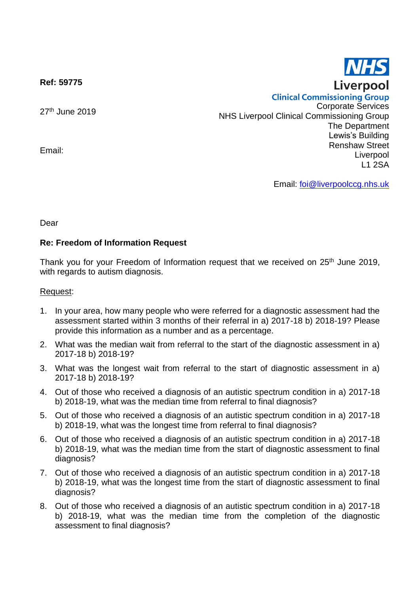**Ref: 59775**

27<sup>th</sup> June 2019

Email:

**Clinical Commissioning Group** Corporate Services NHS Liverpool Clinical Commissioning Group The Department Lewis's Building Renshaw Street Liverpool L1 2SA

Email: [foi@liverpoolccg.nhs.uk](mailto:foi@liverpoolccg.nhs.uk)

Dear

## **Re: Freedom of Information Request**

Thank you for your Freedom of Information request that we received on 25<sup>th</sup> June 2019, with regards to autism diagnosis.

## Request:

- 1. In your area, how many people who were referred for a diagnostic assessment had the assessment started within 3 months of their referral in a) 2017-18 b) 2018-19? Please provide this information as a number and as a percentage.
- 2. What was the median wait from referral to the start of the diagnostic assessment in a) 2017-18 b) 2018-19?
- 3. What was the longest wait from referral to the start of diagnostic assessment in a) 2017-18 b) 2018-19?
- 4. Out of those who received a diagnosis of an autistic spectrum condition in a) 2017-18 b) 2018-19, what was the median time from referral to final diagnosis?
- 5. Out of those who received a diagnosis of an autistic spectrum condition in a) 2017-18 b) 2018-19, what was the longest time from referral to final diagnosis?
- 6. Out of those who received a diagnosis of an autistic spectrum condition in a) 2017-18 b) 2018-19, what was the median time from the start of diagnostic assessment to final diagnosis?
- 7. Out of those who received a diagnosis of an autistic spectrum condition in a) 2017-18 b) 2018-19, what was the longest time from the start of diagnostic assessment to final diagnosis?
- 8. Out of those who received a diagnosis of an autistic spectrum condition in a) 2017-18 b) 2018-19, what was the median time from the completion of the diagnostic assessment to final diagnosis?